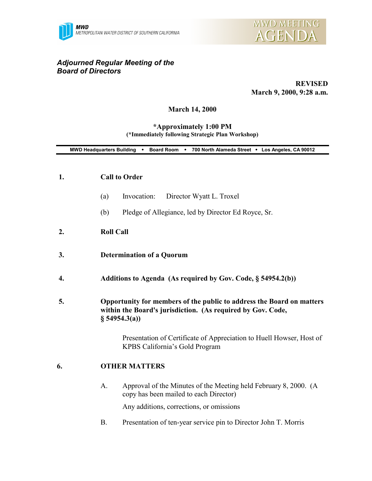



# *Adjourned Regular Meeting of the Board of Directors*

**REVISED March 9, 2000, 9:28 a.m.**

### **March 14, 2000**

#### **\*Approximately 1:00 PM (\*Immediately following Strategic Plan Workshop)**

|    | MWD Headquarters Building . Board Room . 700 North Alameda Street . Los Angeles, CA 90012                                                            |
|----|------------------------------------------------------------------------------------------------------------------------------------------------------|
| 1. | <b>Call to Order</b>                                                                                                                                 |
|    | Invocation:<br>Director Wyatt L. Troxel<br>(a)                                                                                                       |
|    | Pledge of Allegiance, led by Director Ed Royce, Sr.<br>(b)                                                                                           |
| 2. | <b>Roll Call</b>                                                                                                                                     |
| 3. | <b>Determination of a Quorum</b>                                                                                                                     |
| 4. | Additions to Agenda (As required by Gov. Code, § 54954.2(b))                                                                                         |
| 5. | Opportunity for members of the public to address the Board on matters<br>within the Board's jurisdiction. (As required by Gov. Code,<br>§ 54954.3(a) |
|    | Presentation of Certificate of Appreciation to Huell Howser, Host of<br>KPBS California's Gold Program                                               |
| 6. | <b>OTHER MATTERS</b>                                                                                                                                 |
|    | Approval of the Minutes of the Meeting held February 8, 2000. (A<br>A.<br>copy has been mailed to each Director)                                     |
|    | Any additions, corrections, or omissions                                                                                                             |

B. Presentation of ten-year service pin to Director John T. Morris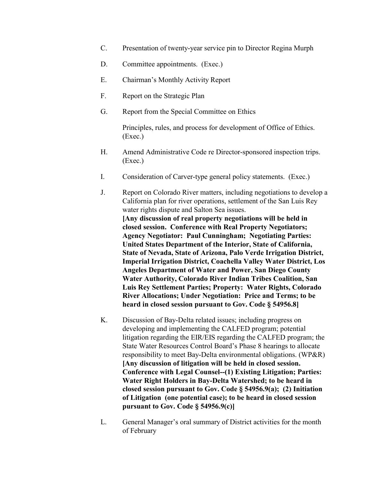- C. Presentation of twenty-year service pin to Director Regina Murph
- D. Committee appointments. (Exec.)
- E. Chairman's Monthly Activity Report
- F. Report on the Strategic Plan
- G. Report from the Special Committee on Ethics

Principles, rules, and process for development of Office of Ethics. (Exec.)

- H. Amend Administrative Code re Director-sponsored inspection trips. (Exec.)
- I. Consideration of Carver-type general policy statements. (Exec.)
- J. Report on Colorado River matters, including negotiations to develop a California plan for river operations, settlement of the San Luis Rey water rights dispute and Salton Sea issues. **[Any discussion of real property negotiations will be held in closed session. Conference with Real Property Negotiators; Agency Negotiator: Paul Cunningham; Negotiating Parties: United States Department of the Interior, State of California, State of Nevada, State of Arizona, Palo Verde Irrigation District, Imperial Irrigation District, Coachella Valley Water District, Los Angeles Department of Water and Power, San Diego County Water Authority, Colorado River Indian Tribes Coalition, San Luis Rey Settlement Parties; Property: Water Rights, Colorado River Allocations; Under Negotiation: Price and Terms; to be heard in closed session pursuant to Gov. Code § 54956.8]**
- K. Discussion of Bay-Delta related issues; including progress on developing and implementing the CALFED program; potential litigation regarding the EIR/EIS regarding the CALFED program; the State Water Resources Control Board's Phase 8 hearings to allocate responsibility to meet Bay-Delta environmental obligations. (WP&R) **[Any discussion of litigation will be held in closed session. Conference with Legal Counsel--(1) Existing Litigation; Parties: Water Right Holders in Bay-Delta Watershed; to be heard in closed session pursuant to Gov. Code § 54956.9(a); (2) Initiation of Litigation (one potential case); to be heard in closed session pursuant to Gov. Code § 54956.9(c)]**
- L. General Manager's oral summary of District activities for the month of February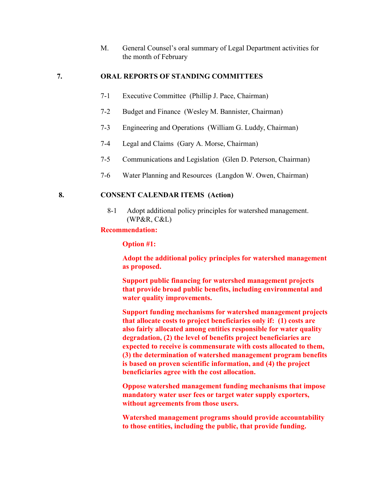M. General Counsel's oral summary of Legal Department activities for the month of February

## **7. ORAL REPORTS OF STANDING COMMITTEES**

- 7-1 Executive Committee (Phillip J. Pace, Chairman)
- 7-2 Budget and Finance (Wesley M. Bannister, Chairman)
- 7-3 Engineering and Operations (William G. Luddy, Chairman)
- 7-4 Legal and Claims (Gary A. Morse, Chairman)
- 7-5 Communications and Legislation (Glen D. Peterson, Chairman)
- 7-6 Water Planning and Resources (Langdon W. Owen, Chairman)

## **8. CONSENT CALENDAR ITEMS (Action)**

8-1 Adopt additional policy principles for watershed management.  $(WP\&R, C\&L)$ 

#### **Recommendation:**

**Option #1:**

**Adopt the additional policy principles for watershed management as proposed.**

**Support public financing for watershed management projects that provide broad public benefits, including environmental and water quality improvements.**

**Support funding mechanisms for watershed management projects that allocate costs to project beneficiaries only if: (1) costs are also fairly allocated among entities responsible for water quality degradation, (2) the level of benefits project beneficiaries are expected to receive is commensurate with costs allocated to them, (3) the determination of watershed management program benefits is based on proven scientific information, and (4) the project beneficiaries agree with the cost allocation.**

**Oppose watershed management funding mechanisms that impose mandatory water user fees or target water supply exporters, without agreements from those users.**

**Watershed management programs should provide accountability to those entities, including the public, that provide funding.**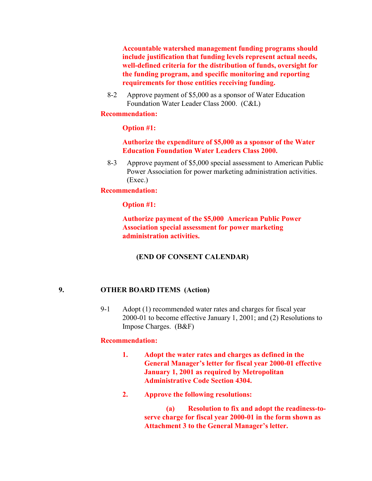**Accountable watershed management funding programs should include justification that funding levels represent actual needs, well-defined criteria for the distribution of funds, oversight for the funding program, and specific monitoring and reporting requirements for those entities receiving funding.**

8-2 Approve payment of \$5,000 as a sponsor of Water Education Foundation Water Leader Class 2000. (C&L)

### **Recommendation:**

## **Option #1:**

## **Authorize the expenditure of \$5,000 as a sponsor of the Water Education Foundation Water Leaders Class 2000.**

8-3 Approve payment of \$5,000 special assessment to American Public Power Association for power marketing administration activities. (Exec.)

## **Recommendation:**

## **Option #1:**

**Authorize payment of the \$5,000 American Public Power Association special assessment for power marketing administration activities.**

## **(END OF CONSENT CALENDAR)**

## **9. OTHER BOARD ITEMS (Action)**

9-1 Adopt (1) recommended water rates and charges for fiscal year 2000-01 to become effective January 1, 2001; and (2) Resolutions to Impose Charges. (B&F)

### **Recommendation:**

- **1. Adopt the water rates and charges as defined in the General Manager's letter for fiscal year 2000-01 effective January 1, 2001 as required by Metropolitan Administrative Code Section 4304.**
- **2. Approve the following resolutions:**

**(a) Resolution to fix and adopt the readiness-toserve charge for fiscal year 2000-01 in the form shown as Attachment 3 to the General Manager's letter.**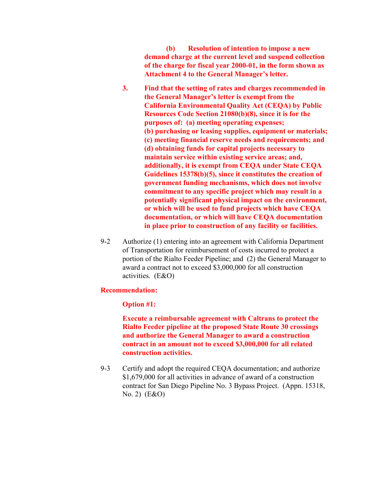**(b) Resolution of intention to impose a new demand charge at the current level and suspend collection of the charge for fiscal year 2000-01, in the form shown as Attachment 4 to the General Manager's letter.**

- **3. Find that the setting of rates and charges recommended in the General Manager's letter is exempt from the California Environmental Quality Act (CEQA) by Public Resources Code Section 21080(b)(8), since it is for the purposes of: (a) meeting operating expenses; (b) purchasing or leasing supplies, equipment or materials; (c) meeting financial reserve needs and requirements; and (d) obtaining funds for capital projects necessary to maintain service within existing service areas; and, additionally, it is exempt from CEQA under State CEQA Guidelines 15378(b)(5), since it constitutes the creation of government funding mechanisms, which does not involve commitment to any specific project which may result in a potentially significant physical impact on the environment, or which will be used to fund projects which have CEQA documentation, or which will have CEQA documentation in place prior to construction of any facility or facilities.**
- 9-2 Authorize (1) entering into an agreement with California Department of Transportation for reimbursement of costs incurred to protect a portion of the Rialto Feeder Pipeline; and (2) the General Manager to award a contract not to exceed \$3,000,000 for all construction activities. (E&O)

### **Recommendation:**

#### **Option #1:**

**Execute a reimbursable agreement with Caltrans to protect the Rialto Feeder pipeline at the proposed State Route 30 crossings and authorize the General Manager to award a construction contract in an amount not to exceed \$3,000,000 for all related construction activities.**

9-3 Certify and adopt the required CEQA documentation; and authorize \$1,679,000 for all activities in advance of award of a construction contract for San Diego Pipeline No. 3 Bypass Project. (Appn. 15318, No. 2) (E&O)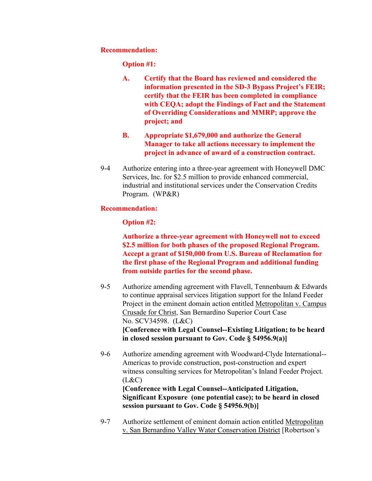## **Recommendation:**

**Option #1:**

- **A. Certify that the Board has reviewed and considered the information presented in the SD-3 Bypass Project's FEIR; certify that the FEIR has been completed in compliance with CEQA; adopt the Findings of Fact and the Statement of Overriding Considerations and MMRP; approve the project; and**
- **B. Appropriate \$1,679,000 and authorize the General Manager to take all actions necessary to implement the project in advance of award of a construction contract.**
- 9-4 Authorize entering into a three-year agreement with Honeywell DMC Services, Inc. for \$2.5 million to provide enhanced commercial, industrial and institutional services under the Conservation Credits Program. (WP&R)

## **Recommendation:**

## **Option #2:**

**Authorize a three-year agreement with Honeywell not to exceed \$2.5 million for both phases of the proposed Regional Program. Accept a grant of \$150,000 from U.S. Bureau of Reclamation for the first phase of the Regional Program and additional funding from outside parties for the second phase.**

- 9-5 Authorize amending agreement with Flavell, Tennenbaum  $&$  Edwards to continue appraisal services litigation support for the Inland Feeder Project in the eminent domain action entitled Metropolitan v. Campus Crusade for Christ, San Bernardino Superior Court Case No. SCV34598. (L&C) **[Conference with Legal Counsel--Existing Litigation; to be heard in closed session pursuant to Gov. Code § 54956.9(a)]**
- 9-6 Authorize amending agreement with Woodward-Clyde International-- Americas to provide construction, post-construction and expert witness consulting services for Metropolitan's Inland Feeder Project.  $(L&C)$

**[Conference with Legal Counsel--Anticipated Litigation, Significant Exposure (one potential case); to be heard in closed session pursuant to Gov. Code § 54956.9(b)]**

9-7 Authorize settlement of eminent domain action entitled Metropolitan v. San Bernardino Valley Water Conservation District [Robertson's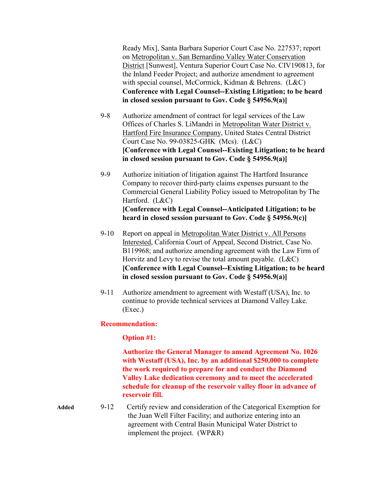Ready Mix], Santa Barbara Superior Court Case No. 227537; report on Metropolitan v. San Bernardino Valley Water Conservation District [Sunwest], Ventura Superior Court Case No. CIV190813, for the Inland Feeder Project; and authorize amendment to agreement with special counsel, McCormick, Kidman & Behrens. (L&C) **Conference with Legal Counsel--Existing Litigation; to be heard in closed session pursuant to Gov. Code § 54956.9(a)]**

- 9-8 Authorize amendment of contract for legal services of the Law Offices of Charles S. LiMandri in Metropolitan Water District v. Hartford Fire Insurance Company, United States Central District Court Case No. 99-03825-GHK (Mcs). (L&C) **[Conference with Legal Counsel--Existing Litigation; to be heard in closed session pursuant to Gov. Code § 54956.9(a)]**
- 9-9 Authorize initiation of litigation against The Hartford Insurance Company to recover third-party claims expenses pursuant to the Commercial General Liability Policy issued to Metropolitan by The Hartford. (L&C) **[Conference with Legal Counsel--Anticipated Litigation; to be heard in closed session pursuant to Gov. Code § 54956.9(c)]**
- 9-10 Report on appeal in Metropolitan Water District v. All Persons Interested, California Court of Appeal, Second District, Case No. B119968; and authorize amending agreement with the Law Firm of Horvitz and Levy to revise the total amount payable. (L&C) **[Conference with Legal Counsel--Existing Litigation; to be heard in closed session pursuant to Gov. Code § 54956.9(a)]**
- 9-11 Authorize amendment to agreement with Westaff (USA), Inc. to continue to provide technical services at Diamond Valley Lake. (Exec.)

## **Recommendation:**

## **Option #1:**

**Authorize the General Manager to amend Agreement No. 1026 with Westaff (USA), Inc. by an additional \$250,000 to complete the work required to prepare for and conduct the Diamond Valley Lake dedication ceremony and to meet the accelerated schedule for cleanup of the reservoir valley floor in advance of reservoir fill.**

**Added** 9-12 Certify review and consideration of the Categorical Exemption for the Juan Well Filter Facility; and authorize entering into an agreement with Central Basin Municipal Water District to implement the project. (WP&R)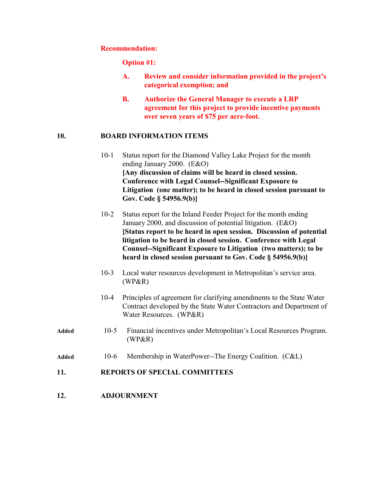#### **Recommendation:**

#### **Option #1:**

- **A. Review and consider information provided in the project's categorical exemption; and**
- **B. Authorize the General Manager to execute a LRP agreement for this project to provide incentive payments over seven years of \$75 per acre-foot.**

## **10. BOARD INFORMATION ITEMS**

- 10-1 Status report for the Diamond Valley Lake Project for the month ending January 2000. (E&O) **[Any discussion of claims will be heard in closed session. Conference with Legal Counsel--Significant Exposure to Litigation (one matter); to be heard in closed session pursuant to Gov. Code § 54956.9(b)]**
- 10-2 Status report for the Inland Feeder Project for the month ending January 2000, and discussion of potential litigation. (E&O) **[Status report to be heard in open session. Discussion of potential litigation to be heard in closed session. Conference with Legal Counsel--Significant Exposure to Litigation (two matters); to be heard in closed session pursuant to Gov. Code § 54956.9(b)]**
- 10-3 Local water resources development in Metropolitan's service area. (WP&R)
- 10-4 Principles of agreement for clarifying amendments to the State Water Contract developed by the State Water Contractors and Department of Water Resources. (WP&R)
- **Added** 10-5 Financial incentives under Metropolitan's Local Resources Program. (WP&R)
- **Added** 10-6 Membership in WaterPower--The Energy Coalition. (C&L)

## **11. REPORTS OF SPECIAL COMMITTEES**

**12. ADJOURNMENT**